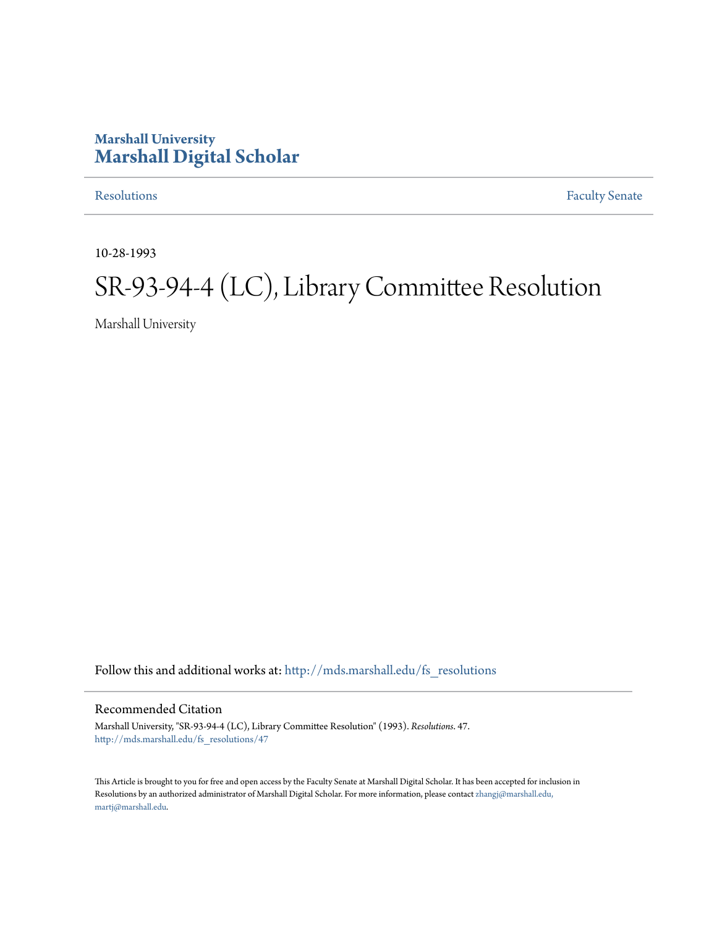### **Marshall University [Marshall Digital Scholar](http://mds.marshall.edu?utm_source=mds.marshall.edu%2Ffs_resolutions%2F47&utm_medium=PDF&utm_campaign=PDFCoverPages)**

[Resolutions](http://mds.marshall.edu/fs_resolutions?utm_source=mds.marshall.edu%2Ffs_resolutions%2F47&utm_medium=PDF&utm_campaign=PDFCoverPages) [Faculty Senate](http://mds.marshall.edu/fs?utm_source=mds.marshall.edu%2Ffs_resolutions%2F47&utm_medium=PDF&utm_campaign=PDFCoverPages)

10-28-1993

# SR-93-94-4 (LC), Library Committee Resolution

Marshall University

Follow this and additional works at: [http://mds.marshall.edu/fs\\_resolutions](http://mds.marshall.edu/fs_resolutions?utm_source=mds.marshall.edu%2Ffs_resolutions%2F47&utm_medium=PDF&utm_campaign=PDFCoverPages)

Recommended Citation

Marshall University, "SR-93-94-4 (LC), Library Committee Resolution" (1993). *Resolutions*. 47. [http://mds.marshall.edu/fs\\_resolutions/47](http://mds.marshall.edu/fs_resolutions/47?utm_source=mds.marshall.edu%2Ffs_resolutions%2F47&utm_medium=PDF&utm_campaign=PDFCoverPages)

This Article is brought to you for free and open access by the Faculty Senate at Marshall Digital Scholar. It has been accepted for inclusion in Resolutions by an authorized administrator of Marshall Digital Scholar. For more information, please contact [zhangj@marshall.edu,](mailto:zhangj@marshall.edu,%20martj@marshall.edu) [martj@marshall.edu](mailto:zhangj@marshall.edu,%20martj@marshall.edu).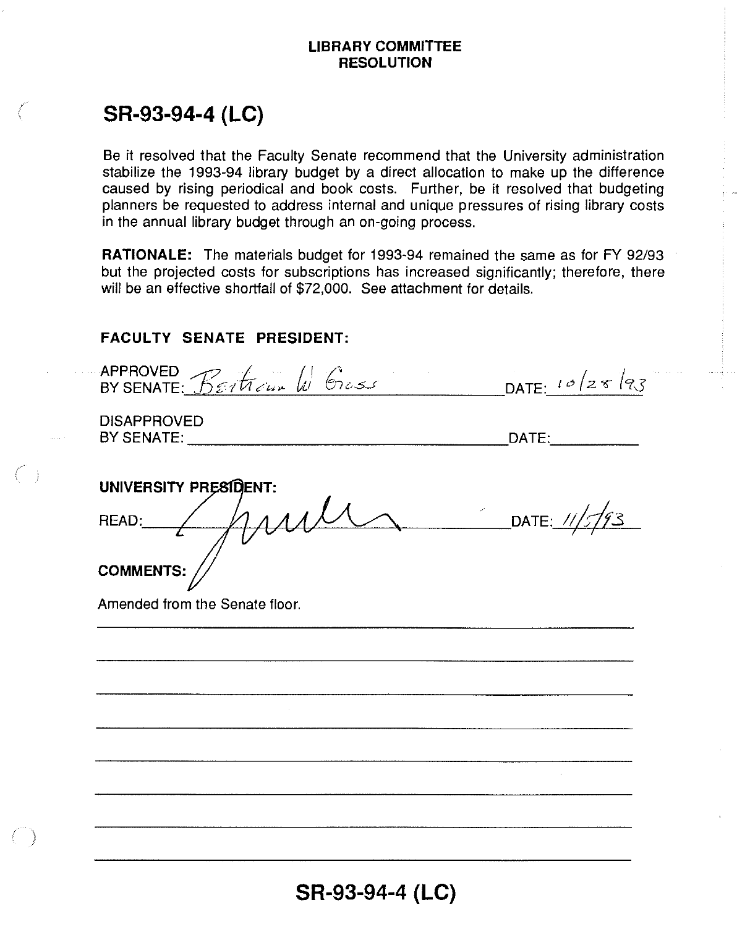### **LIBRARY COMMITTEE RESOLUTION**

## **SR-93-94-4 (LC)**

Be it resolved that the Faculty Senate recommend that the University administration stabilize the 1993-94 library budget by a direct allocation to make up the difference caused by rising periodical and book costs. Further, be it resolved that budgeting planners be requested to address internal and unique pressures of rising library costs in the annual library budget through an on-going process.

**RATIONALE:** The materials budget for 1993-94 remained the same as for FY 92/93 but the projected costs for subscriptions has increased significantly; therefore, there will be an effective shortfall of \$72,000. See attachment for details.

### **FACULTY SENATE PRESIDENT:**

| APPROVED BETTIELLE Cross       | DATE: $10/28/93$ |
|--------------------------------|------------------|
| <b>DISAPPROVED</b>             | DATE:            |
| UNIVERSITY PRESIDENT:          |                  |
| READ: / MAN                    | DATE: 11/5/93    |
| <b>COMMENTS:</b>               |                  |
| Amended from the Senate floor. |                  |
|                                |                  |
|                                |                  |
|                                |                  |
|                                |                  |
|                                |                  |
|                                |                  |
|                                |                  |